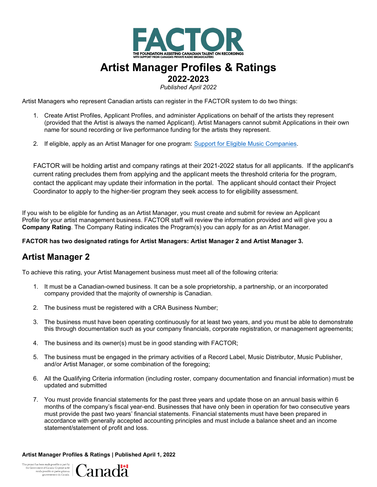

# **Artist Manager Profiles & Ratings**

**2022-2023** 

*Published April 2022*

Artist Managers who represent Canadian artists can register in the FACTOR system to do two things:

- 1. Create Artist Profiles, Applicant Profiles, and administer Applications on behalf of the artists they represent (provided that the Artist is always the named Applicant). Artist Managers cannot submit Applications in their own name for sound recording or live performance funding for the artists they represent.
- 2. If eligible, apply as an Artist Manager for one program: [Support for Eligible Music Companies.](https://factorportalprod.blob.core.windows.net/portal/Documents/Updates/FACTOR_Support_for_Eligible_Music_Companies_Program_Guidelines.pdf)

FACTOR will be holding artist and company ratings at their 2021-2022 status for all applicants. If the applicant's current rating precludes them from applying and the applicant meets the threshold criteria for the program, contact the applicant may update their information in the portal. The applicant should contact their Project Coordinator to apply to the higher-tier program they seek access to for eligibility assessment.

If you wish to be eligible for funding as an Artist Manager, you must create and submit for review an Applicant Profile for your artist management business. FACTOR staff will review the information provided and will give you a **Company Rating**. The Company Rating indicates the Program(s) you can apply for as an Artist Manager.

#### **FACTOR has two designated ratings for Artist Managers: Artist Manager 2 and Artist Manager 3.**

## **Artist Manager 2**

To achieve this rating, your Artist Management business must meet all of the following criteria:

- 1. It must be a Canadian-owned business. It can be a sole proprietorship, a partnership, or an incorporated company provided that the majority of ownership is Canadian.
- 2. The business must be registered with a CRA Business Number;
- 3. The business must have been operating continuously for at least two years, and you must be able to demonstrate this through documentation such as your company financials, corporate registration, or management agreements;
- 4. The business and its owner(s) must be in good standing with FACTOR;
- 5. The business must be engaged in the primary activities of a Record Label, Music Distributor, Music Publisher, and/or Artist Manager, or some combination of the foregoing;
- 6. All the Qualifying Criteria information (including roster, company documentation and financial information) must be updated and submitted
- 7. You must provide financial statements for the past three years and update those on an annual basis within 6 months of the company's fiscal year-end. Businesses that have only been in operation for two consecutive years must provide the past two years' financial statements. Financial statements must have been prepared in accordance with generally accepted accounting principles and must include a balance sheet and an income statement/statement of profit and loss.

**Artist Manager Profiles & Ratings | Published April 1, 2022**